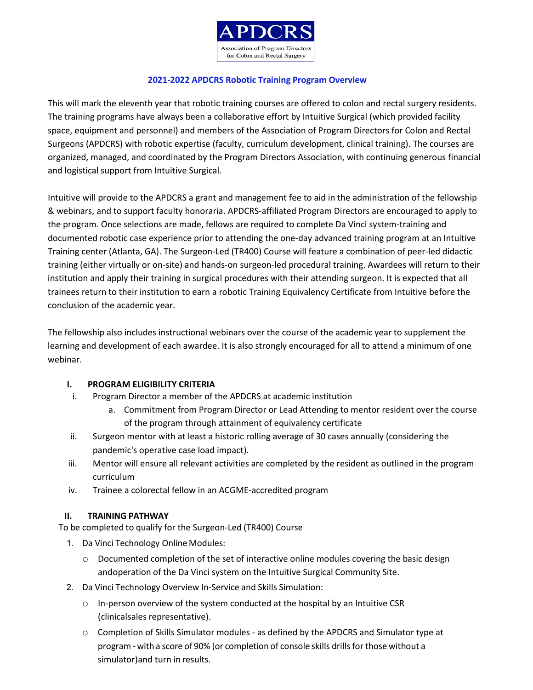

### **2021-2022 APDCRS Robotic Training Program Overview**

This will mark the eleventh year that robotic training courses are offered to colon and rectal surgery residents. The training programs have always been a collaborative effort by Intuitive Surgical (which provided facility space, equipment and personnel) and members of the Association of Program Directors for Colon and Rectal Surgeons (APDCRS) with robotic expertise (faculty, curriculum development, clinical training). The courses are organized, managed, and coordinated by the Program Directors Association, with continuing generous financial and logistical support from Intuitive Surgical.

Intuitive will provide to the APDCRS a grant and management fee to aid in the administration of the fellowship & webinars, and to support faculty honoraria. APDCRS-affiliated Program Directors are encouraged to apply to the program. Once selections are made, fellows are required to complete Da Vinci system-training and documented robotic case experience prior to attending the one-day advanced training program at an Intuitive Training center (Atlanta, GA). The Surgeon-Led (TR400) Course will feature a combination of peer-led didactic training (either virtually or on-site) and hands-on surgeon-led procedural training. Awardees will return to their institution and apply their training in surgical procedures with their attending surgeon. It is expected that all trainees return to their institution to earn a robotic Training Equivalency Certificate from Intuitive before the conclusion of the academic year.

The fellowship also includes instructional webinars over the course of the academic year to supplement the learning and development of each awardee. It is also strongly encouraged for all to attend a minimum of one webinar.

### **I. PROGRAM ELIGIBILITY CRITERIA**

- i. Program Director a member of the APDCRS at academic institution
	- a. Commitment from Program Director or Lead Attending to mentor resident over the course of the program through attainment of equivalency certificate
- ii. Surgeon mentor with at least a historic rolling average of 30 cases annually (considering the pandemic's operative case load impact).
- iii. Mentor will ensure all relevant activities are completed by the resident as outlined in the program curriculum
- iv. Trainee a colorectal fellow in an ACGME-accredited program

### **II. TRAINING PATHWAY**

To be completed to qualify for the Surgeon-Led (TR400) Course

- 1. Da Vinci Technology Online Modules:
	- o Documented completion of the set of interactive online modules covering the basic design andoperation of the Da Vinci system on the Intuitive Surgical Community Site.
- 2. Da Vinci Technology Overview In-Service and Skills Simulation:
	- o In-person overview of the system conducted at the hospital by an Intuitive CSR (clinicalsales representative).
	- o Completion of Skills Simulator modules as defined by the APDCRS and Simulator type at program - with a score of 90% (or completion of console skills drills for those without a simulator)and turn in results.